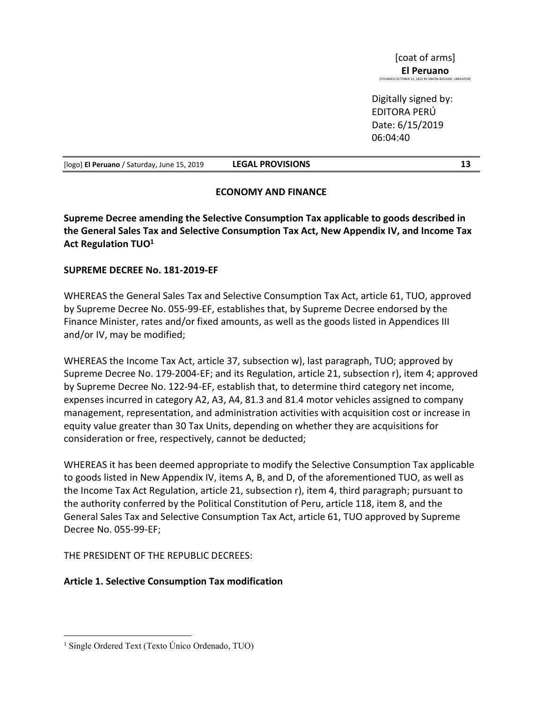Digitally signed by: EDITORA PERÚ Date: 6/15/2019 06:04:40

[logo] El Peruano / Saturday, June 15, 2019 LEGAL PROVISIONS 13

## ECONOMY AND FINANCE

Supreme Decree amending the Selective Consumption Tax applicable to goods described in the General Sales Tax and Selective Consumption Tax Act, New Appendix IV, and Income Tax Act Regulation TUO<sup>1</sup>

## SUPREME DECREE No. 181-2019-EF

WHEREAS the General Sales Tax and Selective Consumption Tax Act, article 61, TUO, approved by Supreme Decree No. 055-99-EF, establishes that, by Supreme Decree endorsed by the Finance Minister, rates and/or fixed amounts, as well as the goods listed in Appendices III and/or IV, may be modified;

WHEREAS the Income Tax Act, article 37, subsection w), last paragraph, TUO; approved by Supreme Decree No. 179-2004-EF; and its Regulation, article 21, subsection r), item 4; approved by Supreme Decree No. 122-94-EF, establish that, to determine third category net income, expenses incurred in category A2, A3, A4, 81.3 and 81.4 motor vehicles assigned to company management, representation, and administration activities with acquisition cost or increase in equity value greater than 30 Tax Units, depending on whether they are acquisitions for consideration or free, respectively, cannot be deducted;

WHEREAS it has been deemed appropriate to modify the Selective Consumption Tax applicable to goods listed in New Appendix IV, items A, B, and D, of the aforementioned TUO, as well as the Income Tax Act Regulation, article 21, subsection r), item 4, third paragraph; pursuant to the authority conferred by the Political Constitution of Peru, article 118, item 8, and the General Sales Tax and Selective Consumption Tax Act, article 61, TUO approved by Supreme Decree No. 055-99-EF;

THE PRESIDENT OF THE REPUBLIC DECREES:

# Article 1. Selective Consumption Tax modification

<sup>&</sup>lt;sup>1</sup> Single Ordered Text (Texto Único Ordenado, TUO)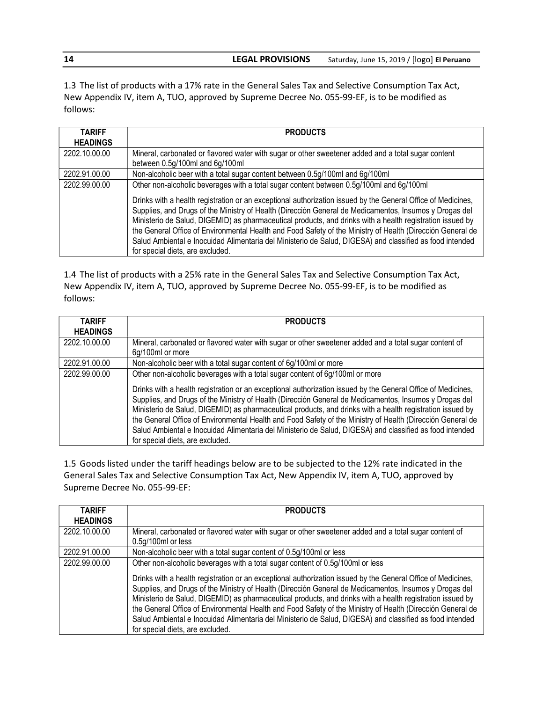1.3 The list of products with a 17% rate in the General Sales Tax and Selective Consumption Tax Act, New Appendix IV, item A, TUO, approved by Supreme Decree No. 055-99-EF, is to be modified as follows:

| <b>TARIFF</b><br><b>HEADINGS</b> | <b>PRODUCTS</b>                                                                                                                                                                                                                                                                                                                                                                                                                                                                                                                                                                                                                                                                               |
|----------------------------------|-----------------------------------------------------------------------------------------------------------------------------------------------------------------------------------------------------------------------------------------------------------------------------------------------------------------------------------------------------------------------------------------------------------------------------------------------------------------------------------------------------------------------------------------------------------------------------------------------------------------------------------------------------------------------------------------------|
| 2202.10.00.00                    | Mineral, carbonated or flavored water with sugar or other sweetener added and a total sugar content<br>between 0.5g/100ml and 6g/100ml                                                                                                                                                                                                                                                                                                                                                                                                                                                                                                                                                        |
| 2202.91.00.00                    | Non-alcoholic beer with a total sugar content between 0.5g/100ml and 6g/100ml                                                                                                                                                                                                                                                                                                                                                                                                                                                                                                                                                                                                                 |
| 2202.99.00.00                    | Other non-alcoholic beverages with a total sugar content between 0.5g/100ml and 6g/100ml<br>Drinks with a health registration or an exceptional authorization issued by the General Office of Medicines,<br>Supplies, and Drugs of the Ministry of Health (Dirección General de Medicamentos, Insumos y Drogas del<br>Ministerio de Salud, DIGEMID) as pharmaceutical products, and drinks with a health registration issued by<br>the General Office of Environmental Health and Food Safety of the Ministry of Health (Dirección General de<br>Salud Ambiental e Inocuidad Alimentaria del Ministerio de Salud, DIGESA) and classified as food intended<br>for special diets, are excluded. |

1.4 The list of products with a 25% rate in the General Sales Tax and Selective Consumption Tax Act, New Appendix IV, item A, TUO, approved by Supreme Decree No. 055-99-EF, is to be modified as follows:

| <b>TARIFF</b><br><b>HEADINGS</b> | <b>PRODUCTS</b>                                                                                                                                                                                                                                                                                                                                                                                                                                                                                                                                                                                   |
|----------------------------------|---------------------------------------------------------------------------------------------------------------------------------------------------------------------------------------------------------------------------------------------------------------------------------------------------------------------------------------------------------------------------------------------------------------------------------------------------------------------------------------------------------------------------------------------------------------------------------------------------|
| 2202.10.00.00                    | Mineral, carbonated or flavored water with sugar or other sweetener added and a total sugar content of<br>6g/100ml or more                                                                                                                                                                                                                                                                                                                                                                                                                                                                        |
| 2202.91.00.00                    | Non-alcoholic beer with a total sugar content of 6g/100ml or more                                                                                                                                                                                                                                                                                                                                                                                                                                                                                                                                 |
| 2202.99.00.00                    | Other non-alcoholic beverages with a total sugar content of 6g/100ml or more                                                                                                                                                                                                                                                                                                                                                                                                                                                                                                                      |
|                                  | Drinks with a health registration or an exceptional authorization issued by the General Office of Medicines,<br>Supplies, and Drugs of the Ministry of Health (Dirección General de Medicamentos, Insumos y Drogas del<br>Ministerio de Salud, DIGEMID) as pharmaceutical products, and drinks with a health registration issued by<br>the General Office of Environmental Health and Food Safety of the Ministry of Health (Dirección General de<br>Salud Ambiental e Inocuidad Alimentaria del Ministerio de Salud, DIGESA) and classified as food intended<br>for special diets, are excluded. |

1.5 Goods listed under the tariff headings below are to be subjected to the 12% rate indicated in the General Sales Tax and Selective Consumption Tax Act, New Appendix IV, item A, TUO, approved by Supreme Decree No. 055-99-EF:

| <b>TARIFF</b>   | <b>PRODUCTS</b>                                                                                                                                                                                                                                                                                                                                                                                                                                                                                                                                                                                   |
|-----------------|---------------------------------------------------------------------------------------------------------------------------------------------------------------------------------------------------------------------------------------------------------------------------------------------------------------------------------------------------------------------------------------------------------------------------------------------------------------------------------------------------------------------------------------------------------------------------------------------------|
| <b>HEADINGS</b> |                                                                                                                                                                                                                                                                                                                                                                                                                                                                                                                                                                                                   |
| 2202.10.00.00   | Mineral, carbonated or flavored water with sugar or other sweetener added and a total sugar content of                                                                                                                                                                                                                                                                                                                                                                                                                                                                                            |
|                 | 0.5g/100ml or less                                                                                                                                                                                                                                                                                                                                                                                                                                                                                                                                                                                |
| 2202.91.00.00   | Non-alcoholic beer with a total sugar content of 0.5g/100ml or less                                                                                                                                                                                                                                                                                                                                                                                                                                                                                                                               |
| 2202.99.00.00   | Other non-alcoholic beverages with a total sugar content of 0.5g/100ml or less                                                                                                                                                                                                                                                                                                                                                                                                                                                                                                                    |
|                 | Drinks with a health registration or an exceptional authorization issued by the General Office of Medicines,<br>Supplies, and Drugs of the Ministry of Health (Dirección General de Medicamentos, Insumos y Drogas del<br>Ministerio de Salud, DIGEMID) as pharmaceutical products, and drinks with a health registration issued by<br>the General Office of Environmental Health and Food Safety of the Ministry of Health (Dirección General de<br>Salud Ambiental e Inocuidad Alimentaria del Ministerio de Salud, DIGESA) and classified as food intended<br>for special diets, are excluded. |